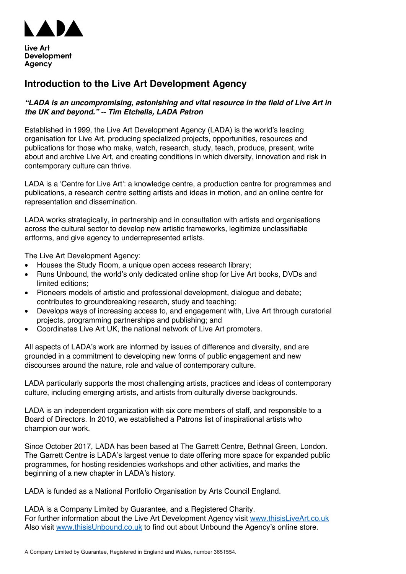

# **Introduction to the Live Art Development Agency**

## *"LADA is an uncompromising, astonishing and vital resource in the field of Live Art in the UK and beyond." -- Tim Etchells, LADA Patron*

Established in 1999, the Live Art Development Agency (LADA) is the world's leading organisation for Live Art, producing specialized projects, opportunities, resources and publications for those who make, watch, research, study, teach, produce, present, write about and archive Live Art, and creating conditions in which diversity, innovation and risk in contemporary culture can thrive.

LADA is a 'Centre for Live Art': a knowledge centre, a production centre for programmes and publications, a research centre setting artists and ideas in motion, and an online centre for representation and dissemination.

LADA works strategically, in partnership and in consultation with artists and organisations across the cultural sector to develop new artistic frameworks, legitimize unclassifiable artforms, and give agency to underrepresented artists.

The Live Art Development Agency:

- Houses the Study Room, a unique open access research library;
- Runs Unbound, the world's only dedicated online shop for Live Art books, DVDs and limited editions;
- Pioneers models of artistic and professional development, dialogue and debate; contributes to groundbreaking research, study and teaching;
- Develops ways of increasing access to, and engagement with, Live Art through curatorial projects, programming partnerships and publishing; and
- Coordinates Live Art UK, the national network of Live Art promoters.

All aspects of LADA's work are informed by issues of difference and diversity, and are grounded in a commitment to developing new forms of public engagement and new discourses around the nature, role and value of contemporary culture.

LADA particularly supports the most challenging artists, practices and ideas of contemporary culture, including emerging artists, and artists from culturally diverse backgrounds.

LADA is an independent organization with six core members of staff, and responsible to a Board of Directors. In 2010, we established a Patrons list of inspirational artists who champion our work.

Since October 2017, LADA has been based at The Garrett Centre, Bethnal Green, London. The Garrett Centre is LADA's largest venue to date offering more space for expanded public programmes, for hosting residencies workshops and other activities, and marks the beginning of a new chapter in LADA's history.

LADA is funded as a National Portfolio Organisation by Arts Council England.

LADA is a Company Limited by Guarantee, and a Registered Charity. For further information about the Live Art Development Agency visit www.thisisLiveArt.co.uk Also visit www.thisisUnbound.co.uk to find out about Unbound the Agency's online store.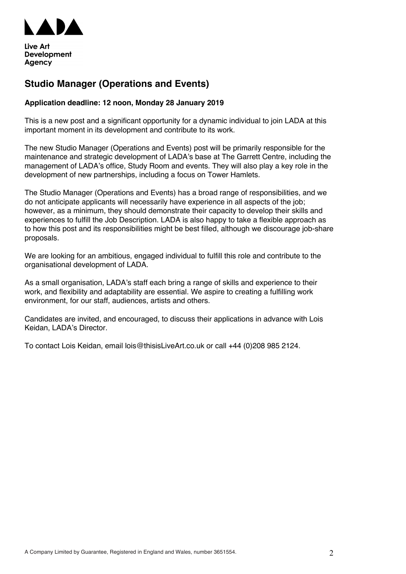

# **Studio Manager (Operations and Events)**

## **Application deadline: 12 noon, Monday 28 January 2019**

This is a new post and a significant opportunity for a dynamic individual to join LADA at this important moment in its development and contribute to its work.

The new Studio Manager (Operations and Events) post will be primarily responsible for the maintenance and strategic development of LADA's base at The Garrett Centre, including the management of LADA's office, Study Room and events. They will also play a key role in the development of new partnerships, including a focus on Tower Hamlets.

The Studio Manager (Operations and Events) has a broad range of responsibilities, and we do not anticipate applicants will necessarily have experience in all aspects of the job; however, as a minimum, they should demonstrate their capacity to develop their skills and experiences to fulfill the Job Description. LADA is also happy to take a flexible approach as to how this post and its responsibilities might be best filled, although we discourage job-share proposals.

We are looking for an ambitious, engaged individual to fulfill this role and contribute to the organisational development of LADA.

As a small organisation, LADA's staff each bring a range of skills and experience to their work, and flexibility and adaptability are essential. We aspire to creating a fulfilling work environment, for our staff, audiences, artists and others.

Candidates are invited, and encouraged, to discuss their applications in advance with Lois Keidan, LADA's Director.

To contact Lois Keidan, email lois@thisisLiveArt.co.uk or call +44 (0)208 985 2124.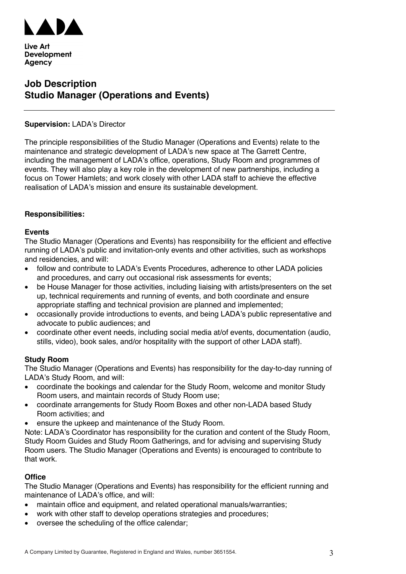

# **Job Description Studio Manager (Operations and Events)**

### **Supervision:** LADA's Director

The principle responsibilities of the Studio Manager (Operations and Events) relate to the maintenance and strategic development of LADA's new space at The Garrett Centre, including the management of LADA's office, operations, Study Room and programmes of events. They will also play a key role in the development of new partnerships, including a focus on Tower Hamlets; and work closely with other LADA staff to achieve the effective realisation of LADA's mission and ensure its sustainable development.

#### **Responsibilities:**

#### **Events**

The Studio Manager (Operations and Events) has responsibility for the efficient and effective running of LADA's public and invitation-only events and other activities, such as workshops and residencies, and will:

- follow and contribute to LADA's Events Procedures, adherence to other LADA policies and procedures, and carry out occasional risk assessments for events;
- be House Manager for those activities, including liaising with artists/presenters on the set up, technical requirements and running of events, and both coordinate and ensure appropriate staffing and technical provision are planned and implemented;
- occasionally provide introductions to events, and being LADA's public representative and advocate to public audiences; and
- coordinate other event needs, including social media at/of events, documentation (audio, stills, video), book sales, and/or hospitality with the support of other LADA staff).

#### **Study Room**

The Studio Manager (Operations and Events) has responsibility for the day-to-day running of LADA's Study Room, and will:

- coordinate the bookings and calendar for the Study Room, welcome and monitor Study Room users, and maintain records of Study Room use;
- coordinate arrangements for Study Room Boxes and other non-LADA based Study Room activities; and
- ensure the upkeep and maintenance of the Study Room.

Note: LADA's Coordinator has responsibility for the curation and content of the Study Room, Study Room Guides and Study Room Gatherings, and for advising and supervising Study Room users. The Studio Manager (Operations and Events) is encouraged to contribute to that work.

#### **Office**

The Studio Manager (Operations and Events) has responsibility for the efficient running and maintenance of LADA's office, and will:

- maintain office and equipment, and related operational manuals/warranties;
- work with other staff to develop operations strategies and procedures:
- oversee the scheduling of the office calendar;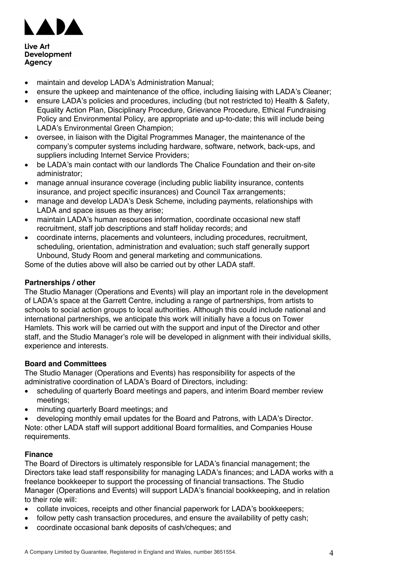

- maintain and develop LADA's Administration Manual;
- ensure the upkeep and maintenance of the office, including liaising with LADA's Cleaner;
- ensure LADA's policies and procedures, including (but not restricted to) Health & Safety, Equality Action Plan, Disciplinary Procedure, Grievance Procedure, Ethical Fundraising Policy and Environmental Policy, are appropriate and up-to-date; this will include being LADA's Environmental Green Champion;
- oversee, in liaison with the Digital Programmes Manager, the maintenance of the company's computer systems including hardware, software, network, back-ups, and suppliers including Internet Service Providers;
- be LADA's main contact with our landlords The Chalice Foundation and their on-site administrator;
- manage annual insurance coverage (including public liability insurance, contents insurance, and project specific insurances) and Council Tax arrangements;
- manage and develop LADA's Desk Scheme, including payments, relationships with LADA and space issues as they arise;
- maintain LADA's human resources information, coordinate occasional new staff recruitment, staff job descriptions and staff holiday records; and
- coordinate interns, placements and volunteers, including procedures, recruitment, scheduling, orientation, administration and evaluation; such staff generally support Unbound, Study Room and general marketing and communications.

Some of the duties above will also be carried out by other LADA staff.

## **Partnerships / other**

The Studio Manager (Operations and Events) will play an important role in the development of LADA's space at the Garrett Centre, including a range of partnerships, from artists to schools to social action groups to local authorities. Although this could include national and international partnerships, we anticipate this work will initially have a focus on Tower Hamlets. This work will be carried out with the support and input of the Director and other staff, and the Studio Manager's role will be developed in alignment with their individual skills, experience and interests.

## **Board and Committees**

The Studio Manager (Operations and Events) has responsibility for aspects of the administrative coordination of LADA's Board of Directors, including:

- scheduling of quarterly Board meetings and papers, and interim Board member review meetings;
- minuting quarterly Board meetings; and
- developing monthly email updates for the Board and Patrons, with LADA's Director. Note: other LADA staff will support additional Board formalities, and Companies House requirements.

## **Finance**

The Board of Directors is ultimately responsible for LADA's financial management; the Directors take lead staff responsibility for managing LADA's finances; and LADA works with a freelance bookkeeper to support the processing of financial transactions. The Studio Manager (Operations and Events) will support LADA's financial bookkeeping, and in relation to their role will:

- collate invoices, receipts and other financial paperwork for LADA's bookkeepers;
- follow petty cash transaction procedures, and ensure the availability of petty cash;
- coordinate occasional bank deposits of cash/cheques; and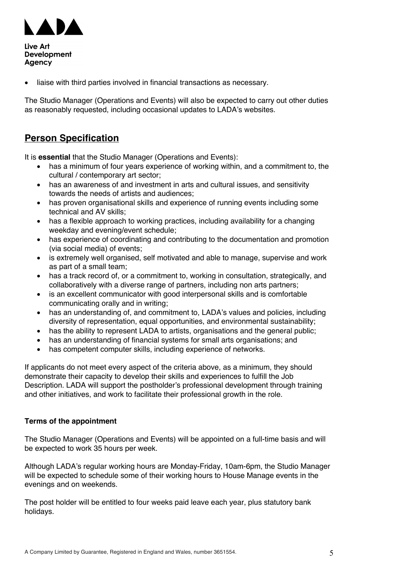

liaise with third parties involved in financial transactions as necessary.

The Studio Manager (Operations and Events) will also be expected to carry out other duties as reasonably requested, including occasional updates to LADA's websites.

## **Person Specification**

It is **essential** that the Studio Manager (Operations and Events):

- has a minimum of four years experience of working within, and a commitment to, the cultural / contemporary art sector;
- has an awareness of and investment in arts and cultural issues, and sensitivity towards the needs of artists and audiences;
- has proven organisational skills and experience of running events including some technical and AV skills;
- has a flexible approach to working practices, including availability for a changing weekday and evening/event schedule;
- has experience of coordinating and contributing to the documentation and promotion (via social media) of events;
- is extremely well organised, self motivated and able to manage, supervise and work as part of a small team;
- has a track record of, or a commitment to, working in consultation, strategically, and collaboratively with a diverse range of partners, including non arts partners;
- is an excellent communicator with good interpersonal skills and is comfortable communicating orally and in writing;
- has an understanding of, and commitment to, LADA's values and policies, including diversity of representation, equal opportunities, and environmental sustainability;
- has the ability to represent LADA to artists, organisations and the general public;
- has an understanding of financial systems for small arts organisations; and
- has competent computer skills, including experience of networks.

If applicants do not meet every aspect of the criteria above, as a minimum, they should demonstrate their capacity to develop their skills and experiences to fulfill the Job Description. LADA will support the postholder's professional development through training and other initiatives, and work to facilitate their professional growth in the role.

#### **Terms of the appointment**

The Studio Manager (Operations and Events) will be appointed on a full-time basis and will be expected to work 35 hours per week.

Although LADA's regular working hours are Monday-Friday, 10am-6pm, the Studio Manager will be expected to schedule some of their working hours to House Manage events in the evenings and on weekends.

The post holder will be entitled to four weeks paid leave each year, plus statutory bank holidays.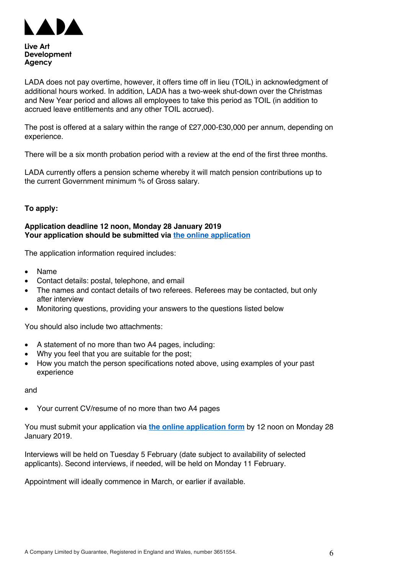

LADA does not pay overtime, however, it offers time off in lieu (TOIL) in acknowledgment of additional hours worked. In addition, LADA has a two-week shut-down over the Christmas and New Year period and allows all employees to take this period as TOIL (in addition to accrued leave entitlements and any other TOIL accrued).

The post is offered at a salary within the range of £27,000-£30,000 per annum, depending on experience.

There will be a six month probation period with a review at the end of the first three months.

LADA currently offers a pension scheme whereby it will match pension contributions up to the current Government minimum % of Gross salary.

## **To apply:**

### **Application deadline 12 noon, Monday 28 January 2019 Your application should be submitted via [the online application](https://thisisliveart.wufoo.com/forms/studio-manager-operations-and-events-application)**

The application information required includes:

- Name
- Contact details: postal, telephone, and email
- The names and contact details of two referees. Referees may be contacted, but only after interview
- Monitoring questions, providing your answers to the questions listed below

You should also include two attachments:

- A statement of no more than two A4 pages, including:
- Why you feel that you are suitable for the post;
- How you match the person specifications noted above, using examples of your past experience

and

• Your current CV/resume of no more than two A4 pages

You must submit your application via **[the online application form](https://thisisliveart.wufoo.com/forms/studio-manager-operations-and-events-application)** by 12 noon on Monday 28 January 2019.

Interviews will be held on Tuesday 5 February (date subject to availability of selected applicants). Second interviews, if needed, will be held on Monday 11 February.

Appointment will ideally commence in March, or earlier if available.